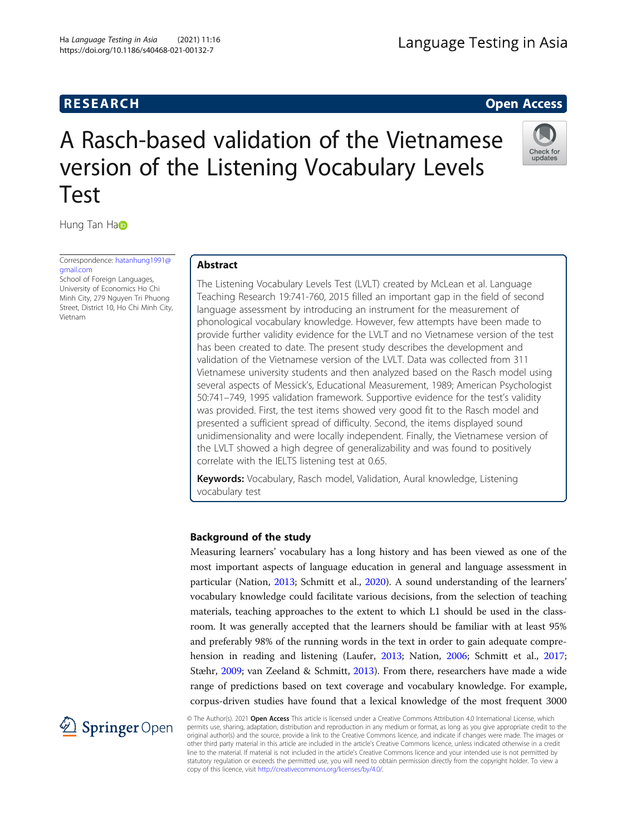# **RESEARCH RESEARCH CONSUMING ACCESS**

Check for update<br>update

# A Rasch-based validation of the Vietnamese version of the Listening Vocabulary Levels Test

Hung T[a](http://orcid.org/0000-0002-5901-7718)n Ha

Correspondence: [hatanhung1991@](mailto:hatanhung1991@gmail.com) [gmail.com](mailto:hatanhung1991@gmail.com)

School of Foreign Languages, University of Economics Ho Chi Minh City, 279 Nguyen Tri Phuong Street, District 10, Ho Chi Minh City, Vietnam

# Abstract

The Listening Vocabulary Levels Test (LVLT) created by McLean et al. Language Teaching Research 19:741-760, 2015 filled an important gap in the field of second language assessment by introducing an instrument for the measurement of phonological vocabulary knowledge. However, few attempts have been made to provide further validity evidence for the LVLT and no Vietnamese version of the test has been created to date. The present study describes the development and validation of the Vietnamese version of the LVLT. Data was collected from 311 Vietnamese university students and then analyzed based on the Rasch model using several aspects of Messick's, Educational Measurement, 1989; American Psychologist 50:741–749, 1995 validation framework. Supportive evidence for the test's validity was provided. First, the test items showed very good fit to the Rasch model and presented a sufficient spread of difficulty. Second, the items displayed sound unidimensionality and were locally independent. Finally, the Vietnamese version of the LVLT showed a high degree of generalizability and was found to positively correlate with the IELTS listening test at 0.65.

Keywords: Vocabulary, Rasch model, Validation, Aural knowledge, Listening vocabulary test

# Background of the study

Measuring learners' vocabulary has a long history and has been viewed as one of the most important aspects of language education in general and language assessment in particular (Nation, [2013](#page-18-0); Schmitt et al., [2020\)](#page-18-0). A sound understanding of the learners' vocabulary knowledge could facilitate various decisions, from the selection of teaching materials, teaching approaches to the extent to which L1 should be used in the classroom. It was generally accepted that the learners should be familiar with at least 95% and preferably 98% of the running words in the text in order to gain adequate comprehension in reading and listening (Laufer, [2013;](#page-17-0) Nation, [2006;](#page-18-0) Schmitt et al., [2017](#page-18-0); Stæhr, [2009;](#page-18-0) van Zeeland & Schmitt, [2013](#page-18-0)). From there, researchers have made a wide range of predictions based on text coverage and vocabulary knowledge. For example, corpus-driven studies have found that a lexical knowledge of the most frequent 3000



© The Author(s). 2021 Open Access This article is licensed under a Creative Commons Attribution 4.0 International License, which permits use, sharing, adaptation, distribution and reproduction in any medium or format, as long as you give appropriate credit to the original author(s) and the source, provide a link to the Creative Commons licence, and indicate if changes were made. The images or other third party material in this article are included in the article's Creative Commons licence, unless indicated otherwise in a credit line to the material. If material is not included in the article's Creative Commons licence and your intended use is not permitted by statutory regulation or exceeds the permitted use, you will need to obtain permission directly from the copyright holder. To view a copy of this licence, visit <http://creativecommons.org/licenses/by/4.0/>.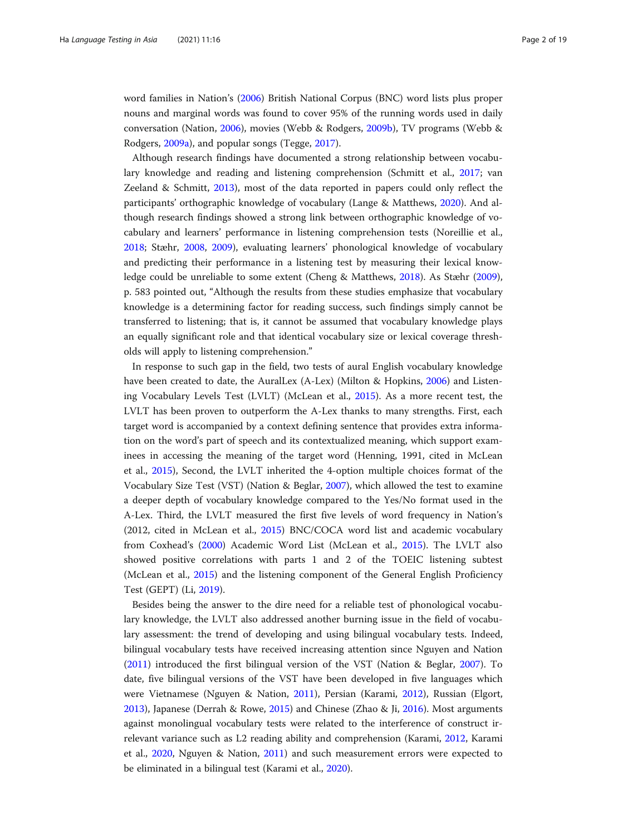word families in Nation's [\(2006](#page-18-0)) British National Corpus (BNC) word lists plus proper nouns and marginal words was found to cover 95% of the running words used in daily conversation (Nation, [2006\)](#page-18-0), movies (Webb & Rodgers, [2009b\)](#page-18-0), TV programs (Webb & Rodgers, [2009a\)](#page-18-0), and popular songs (Tegge, [2017\)](#page-18-0).

Although research findings have documented a strong relationship between vocabulary knowledge and reading and listening comprehension (Schmitt et al., [2017](#page-18-0); van Zeeland & Schmitt, [2013\)](#page-18-0), most of the data reported in papers could only reflect the participants' orthographic knowledge of vocabulary (Lange & Matthews, [2020\)](#page-17-0). And although research findings showed a strong link between orthographic knowledge of vocabulary and learners' performance in listening comprehension tests (Noreillie et al., [2018](#page-18-0); Stæhr, [2008,](#page-18-0) [2009\)](#page-18-0), evaluating learners' phonological knowledge of vocabulary and predicting their performance in a listening test by measuring their lexical knowledge could be unreliable to some extent (Cheng & Matthews, [2018](#page-17-0)). As Stæhr ([2009](#page-18-0)), p. 583 pointed out, "Although the results from these studies emphasize that vocabulary knowledge is a determining factor for reading success, such findings simply cannot be transferred to listening; that is, it cannot be assumed that vocabulary knowledge plays an equally significant role and that identical vocabulary size or lexical coverage thresholds will apply to listening comprehension."

In response to such gap in the field, two tests of aural English vocabulary knowledge have been created to date, the AuralLex (A-Lex) (Milton & Hopkins, [2006\)](#page-18-0) and Listening Vocabulary Levels Test (LVLT) (McLean et al., [2015\)](#page-18-0). As a more recent test, the LVLT has been proven to outperform the A-Lex thanks to many strengths. First, each target word is accompanied by a context defining sentence that provides extra information on the word's part of speech and its contextualized meaning, which support examinees in accessing the meaning of the target word (Henning, 1991, cited in McLean et al., [2015\)](#page-18-0), Second, the LVLT inherited the 4-option multiple choices format of the Vocabulary Size Test (VST) (Nation & Beglar, [2007](#page-18-0)), which allowed the test to examine a deeper depth of vocabulary knowledge compared to the Yes/No format used in the A-Lex. Third, the LVLT measured the first five levels of word frequency in Nation's (2012, cited in McLean et al., [2015\)](#page-18-0) BNC/COCA word list and academic vocabulary from Coxhead's ([2000](#page-17-0)) Academic Word List (McLean et al., [2015\)](#page-18-0). The LVLT also showed positive correlations with parts 1 and 2 of the TOEIC listening subtest (McLean et al., [2015\)](#page-18-0) and the listening component of the General English Proficiency Test (GEPT) (Li, [2019\)](#page-17-0).

Besides being the answer to the dire need for a reliable test of phonological vocabulary knowledge, the LVLT also addressed another burning issue in the field of vocabulary assessment: the trend of developing and using bilingual vocabulary tests. Indeed, bilingual vocabulary tests have received increasing attention since Nguyen and Nation ([2011](#page-18-0)) introduced the first bilingual version of the VST (Nation & Beglar, [2007](#page-18-0)). To date, five bilingual versions of the VST have been developed in five languages which were Vietnamese (Nguyen & Nation, [2011\)](#page-18-0), Persian (Karami, [2012](#page-17-0)), Russian (Elgort, [2013](#page-17-0)), Japanese (Derrah & Rowe, [2015](#page-17-0)) and Chinese (Zhao & Ji, [2016](#page-18-0)). Most arguments against monolingual vocabulary tests were related to the interference of construct irrelevant variance such as L2 reading ability and comprehension (Karami, [2012](#page-17-0), Karami et al., [2020,](#page-17-0) Nguyen & Nation, [2011](#page-18-0)) and such measurement errors were expected to be eliminated in a bilingual test (Karami et al., [2020\)](#page-17-0).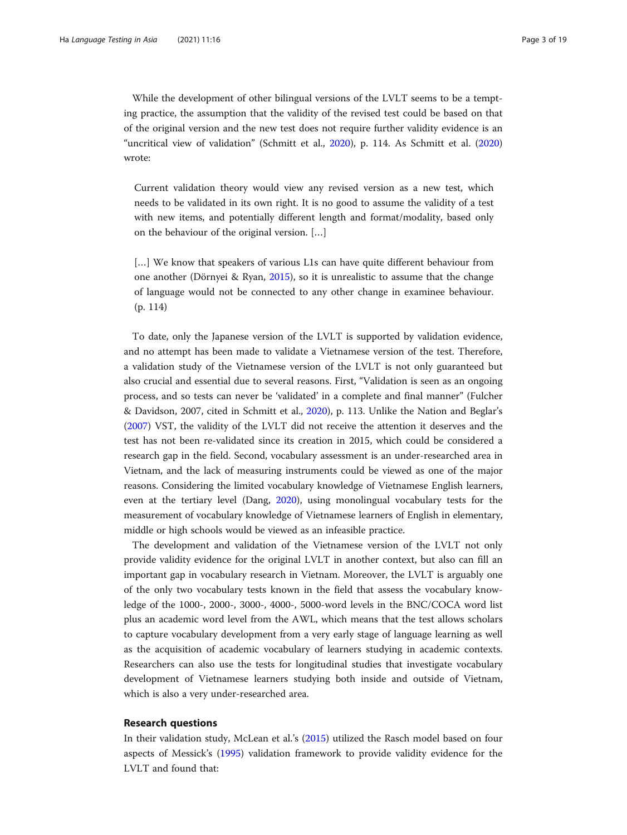While the development of other bilingual versions of the LVLT seems to be a tempting practice, the assumption that the validity of the revised test could be based on that of the original version and the new test does not require further validity evidence is an "uncritical view of validation" (Schmitt et al., [2020\)](#page-18-0), p. 114. As Schmitt et al. ([2020](#page-18-0)) wrote:

Current validation theory would view any revised version as a new test, which needs to be validated in its own right. It is no good to assume the validity of a test with new items, and potentially different length and format/modality, based only on the behaviour of the original version. […]

[...] We know that speakers of various L1s can have quite different behaviour from one another (Dörnyei & Ryan, [2015](#page-17-0)), so it is unrealistic to assume that the change of language would not be connected to any other change in examinee behaviour. (p. 114)

To date, only the Japanese version of the LVLT is supported by validation evidence, and no attempt has been made to validate a Vietnamese version of the test. Therefore, a validation study of the Vietnamese version of the LVLT is not only guaranteed but also crucial and essential due to several reasons. First, "Validation is seen as an ongoing process, and so tests can never be 'validated' in a complete and final manner" (Fulcher & Davidson, 2007, cited in Schmitt et al., [2020\)](#page-18-0), p. 113. Unlike the Nation and Beglar's ([2007](#page-18-0)) VST, the validity of the LVLT did not receive the attention it deserves and the test has not been re-validated since its creation in 2015, which could be considered a research gap in the field. Second, vocabulary assessment is an under-researched area in Vietnam, and the lack of measuring instruments could be viewed as one of the major reasons. Considering the limited vocabulary knowledge of Vietnamese English learners, even at the tertiary level (Dang, [2020\)](#page-17-0), using monolingual vocabulary tests for the measurement of vocabulary knowledge of Vietnamese learners of English in elementary, middle or high schools would be viewed as an infeasible practice.

The development and validation of the Vietnamese version of the LVLT not only provide validity evidence for the original LVLT in another context, but also can fill an important gap in vocabulary research in Vietnam. Moreover, the LVLT is arguably one of the only two vocabulary tests known in the field that assess the vocabulary knowledge of the 1000-, 2000-, 3000-, 4000-, 5000-word levels in the BNC/COCA word list plus an academic word level from the AWL, which means that the test allows scholars to capture vocabulary development from a very early stage of language learning as well as the acquisition of academic vocabulary of learners studying in academic contexts. Researchers can also use the tests for longitudinal studies that investigate vocabulary development of Vietnamese learners studying both inside and outside of Vietnam, which is also a very under-researched area.

### Research questions

In their validation study, McLean et al.'s [\(2015\)](#page-18-0) utilized the Rasch model based on four aspects of Messick's [\(1995\)](#page-18-0) validation framework to provide validity evidence for the LVLT and found that: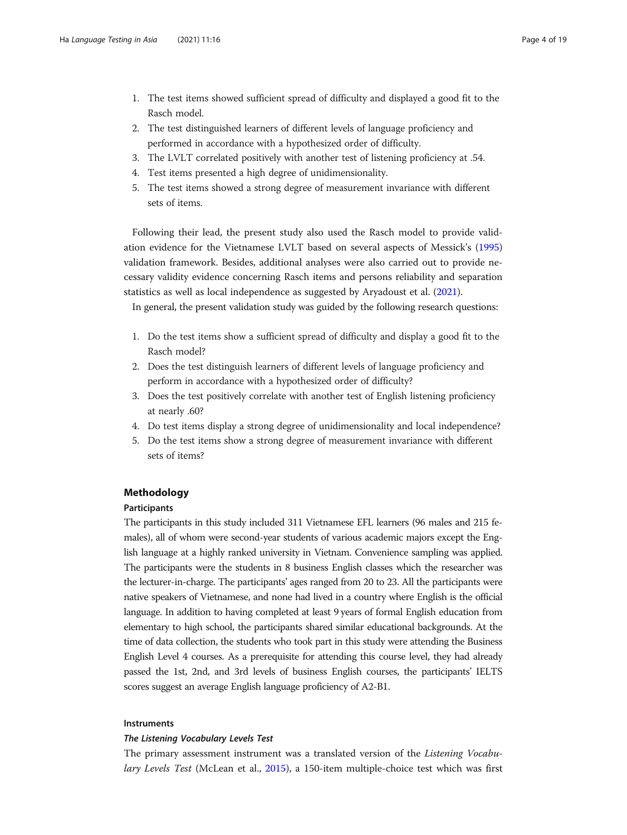- 1. The test items showed sufficient spread of difficulty and displayed a good fit to the Rasch model.
- 2. The test distinguished learners of different levels of language proficiency and performed in accordance with a hypothesized order of difficulty.
- 3. The LVLT correlated positively with another test of listening proficiency at .54.
- 4. Test items presented a high degree of unidimensionality.
- 5. The test items showed a strong degree of measurement invariance with different sets of items.

Following their lead, the present study also used the Rasch model to provide validation evidence for the Vietnamese LVLT based on several aspects of Messick's ([1995](#page-18-0)) validation framework. Besides, additional analyses were also carried out to provide necessary validity evidence concerning Rasch items and persons reliability and separation statistics as well as local independence as suggested by Aryadoust et al. ([2021\)](#page-17-0).

In general, the present validation study was guided by the following research questions:

- 1. Do the test items show a sufficient spread of difficulty and display a good fit to the Rasch model?
- 2. Does the test distinguish learners of different levels of language proficiency and perform in accordance with a hypothesized order of difficulty?
- 3. Does the test positively correlate with another test of English listening proficiency at nearly .60?
- 4. Do test items display a strong degree of unidimensionality and local independence?
- 5. Do the test items show a strong degree of measurement invariance with different sets of items?

# Methodology

### Participants

The participants in this study included 311 Vietnamese EFL learners (96 males and 215 females), all of whom were second-year students of various academic majors except the English language at a highly ranked university in Vietnam. Convenience sampling was applied. The participants were the students in 8 business English classes which the researcher was the lecturer-in-charge. The participants' ages ranged from 20 to 23. All the participants were native speakers of Vietnamese, and none had lived in a country where English is the official language. In addition to having completed at least 9 years of formal English education from elementary to high school, the participants shared similar educational backgrounds. At the time of data collection, the students who took part in this study were attending the Business English Level 4 courses. As a prerequisite for attending this course level, they had already passed the 1st, 2nd, and 3rd levels of business English courses, the participants' IELTS scores suggest an average English language proficiency of A2-B1.

### Instruments

The primary assessment instrument was a translated version of the Listening Vocabu-lary Levels Test (McLean et al., [2015\)](#page-18-0), a 150-item multiple-choice test which was first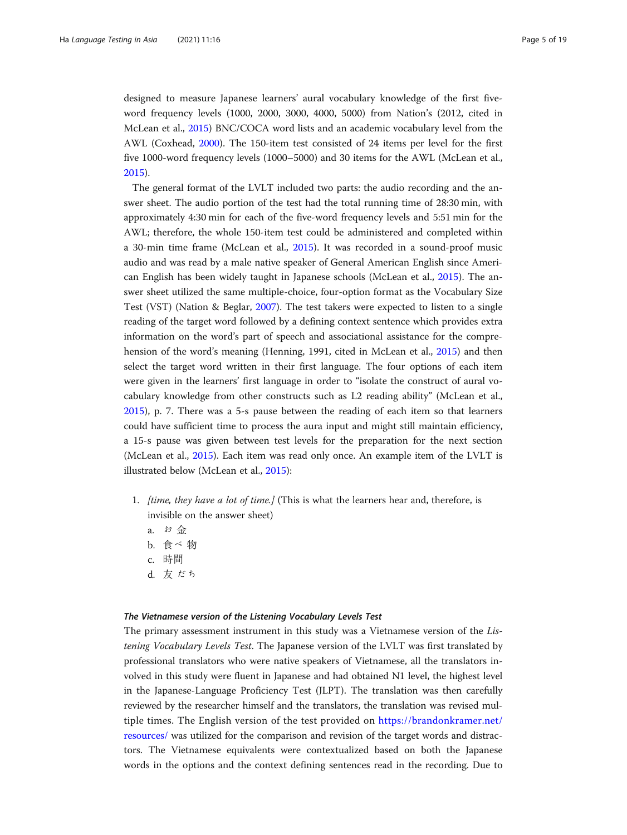designed to measure Japanese learners' aural vocabulary knowledge of the first fiveword frequency levels (1000, 2000, 3000, 4000, 5000) from Nation's (2012, cited in McLean et al., [2015](#page-18-0)) BNC/COCA word lists and an academic vocabulary level from the AWL (Coxhead, [2000\)](#page-17-0). The 150-item test consisted of 24 items per level for the first five 1000-word frequency levels (1000–5000) and 30 items for the AWL (McLean et al., [2015](#page-18-0)).

The general format of the LVLT included two parts: the audio recording and the answer sheet. The audio portion of the test had the total running time of 28:30 min, with approximately 4:30 min for each of the five-word frequency levels and 5:51 min for the AWL; therefore, the whole 150-item test could be administered and completed within a 30-min time frame (McLean et al., [2015\)](#page-18-0). It was recorded in a sound-proof music audio and was read by a male native speaker of General American English since American English has been widely taught in Japanese schools (McLean et al., [2015\)](#page-18-0). The answer sheet utilized the same multiple-choice, four-option format as the Vocabulary Size Test (VST) (Nation & Beglar, [2007\)](#page-18-0). The test takers were expected to listen to a single reading of the target word followed by a defining context sentence which provides extra information on the word's part of speech and associational assistance for the comprehension of the word's meaning (Henning, 1991, cited in McLean et al., [2015](#page-18-0)) and then select the target word written in their first language. The four options of each item were given in the learners' first language in order to "isolate the construct of aural vocabulary knowledge from other constructs such as L2 reading ability" (McLean et al., [2015](#page-18-0)), p. 7. There was a 5-s pause between the reading of each item so that learners could have sufficient time to process the aura input and might still maintain efficiency, a 15-s pause was given between test levels for the preparation for the next section (McLean et al., [2015\)](#page-18-0). Each item was read only once. An example item of the LVLT is illustrated below (McLean et al., [2015](#page-18-0)):

- 1. *[time, they have a lot of time.]* (This is what the learners hear and, therefore, is invisible on the answer sheet)
	- a. お 金
	- b. 食べ 物
	- c. 時間
	- d. 友 だち

The primary assessment instrument in this study was a Vietnamese version of the Listening Vocabulary Levels Test. The Japanese version of the LVLT was first translated by professional translators who were native speakers of Vietnamese, all the translators involved in this study were fluent in Japanese and had obtained N1 level, the highest level in the Japanese-Language Proficiency Test (JLPT). The translation was then carefully reviewed by the researcher himself and the translators, the translation was revised multiple times. The English version of the test provided on [https://brandonkramer.net/](https://brandonkramer.net/resources/) [resources/](https://brandonkramer.net/resources/) was utilized for the comparison and revision of the target words and distractors. The Vietnamese equivalents were contextualized based on both the Japanese words in the options and the context defining sentences read in the recording. Due to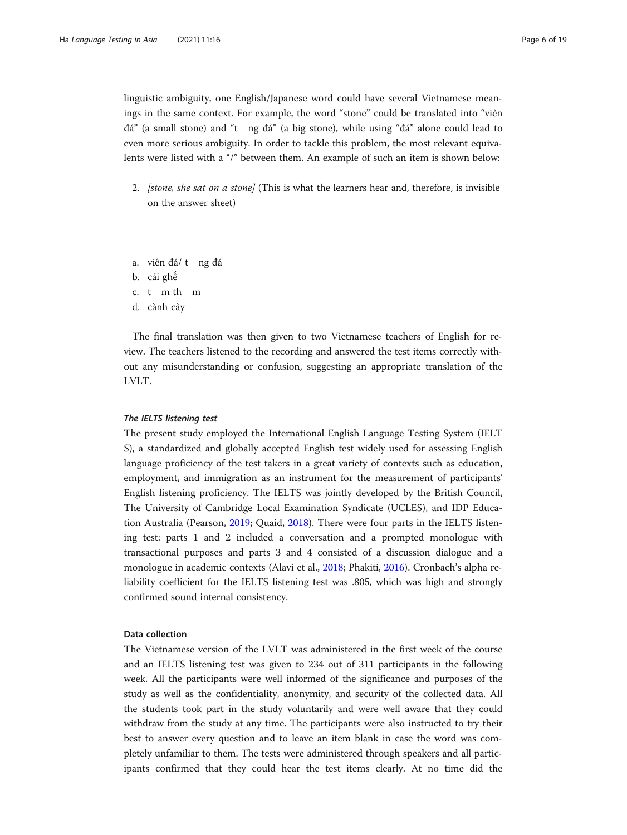linguistic ambiguity, one English/Japanese word could have several Vietnamese meanings in the same context. For example, the word "stone" could be translated into "viên đá" (a small stone) and "t ng đá" (a big stone), while using "đá" alone could lead to even more serious ambiguity. In order to tackle this problem, the most relevant equivalents were listed with a "/" between them. An example of such an item is shown below:

2. *[stone, she sat on a stone]* (This is what the learners hear and, therefore, is invisible on the answer sheet)

a. viên đá/ t ng đá

b. cái ghế

- c. t m th m
- d. cành cây

The final translation was then given to two Vietnamese teachers of English for review. The teachers listened to the recording and answered the test items correctly without any misunderstanding or confusion, suggesting an appropriate translation of the LVLT.

The present study employed the International English Language Testing System (IELT) S), a standardized and globally accepted English test widely used for assessing English language proficiency of the test takers in a great variety of contexts such as education, employment, and immigration as an instrument for the measurement of participants' English listening proficiency. The IELTS was jointly developed by the British Council, The University of Cambridge Local Examination Syndicate (UCLES), and IDP Education Australia (Pearson, [2019;](#page-18-0) Quaid, [2018](#page-18-0)). There were four parts in the IELTS listening test: parts 1 and 2 included a conversation and a prompted monologue with transactional purposes and parts 3 and 4 consisted of a discussion dialogue and a monologue in academic contexts (Alavi et al., [2018](#page-17-0); Phakiti, [2016](#page-18-0)). Cronbach's alpha reliability coefficient for the IELTS listening test was .805, which was high and strongly confirmed sound internal consistency.

# Data collection

The Vietnamese version of the LVLT was administered in the first week of the course and an IELTS listening test was given to 234 out of 311 participants in the following week. All the participants were well informed of the significance and purposes of the study as well as the confidentiality, anonymity, and security of the collected data. All the students took part in the study voluntarily and were well aware that they could withdraw from the study at any time. The participants were also instructed to try their best to answer every question and to leave an item blank in case the word was completely unfamiliar to them. The tests were administered through speakers and all participants confirmed that they could hear the test items clearly. At no time did the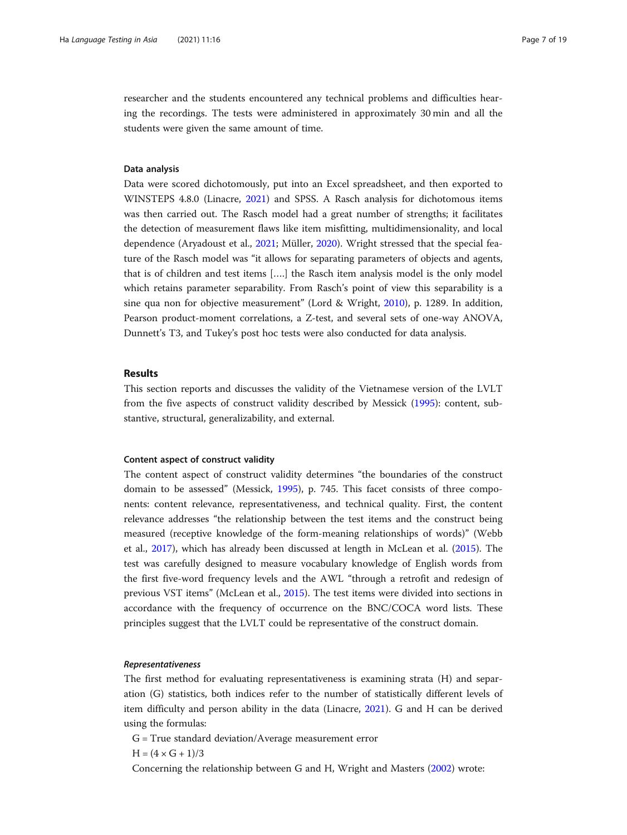researcher and the students encountered any technical problems and difficulties hearing the recordings. The tests were administered in approximately 30 min and all the students were given the same amount of time.

### Data analysis

Data were scored dichotomously, put into an Excel spreadsheet, and then exported to WINSTEPS 4.8.0 (Linacre, [2021](#page-17-0)) and SPSS. A Rasch analysis for dichotomous items was then carried out. The Rasch model had a great number of strengths; it facilitates the detection of measurement flaws like item misfitting, multidimensionality, and local dependence (Aryadoust et al., [2021](#page-17-0); Müller, [2020](#page-18-0)). Wright stressed that the special feature of the Rasch model was "it allows for separating parameters of objects and agents, that is of children and test items [….] the Rasch item analysis model is the only model which retains parameter separability. From Rasch's point of view this separability is a sine qua non for objective measurement" (Lord & Wright, [2010](#page-17-0)), p. 1289. In addition, Pearson product-moment correlations, a Z-test, and several sets of one-way ANOVA, Dunnett's T3, and Tukey's post hoc tests were also conducted for data analysis.

### Results

This section reports and discusses the validity of the Vietnamese version of the LVLT from the five aspects of construct validity described by Messick ([1995](#page-18-0)): content, substantive, structural, generalizability, and external.

#### Content aspect of construct validity

The content aspect of construct validity determines "the boundaries of the construct domain to be assessed" (Messick, [1995](#page-18-0)), p. 745. This facet consists of three components: content relevance, representativeness, and technical quality. First, the content relevance addresses "the relationship between the test items and the construct being measured (receptive knowledge of the form-meaning relationships of words)" (Webb et al., [2017\)](#page-18-0), which has already been discussed at length in McLean et al. ([2015](#page-18-0)). The test was carefully designed to measure vocabulary knowledge of English words from the first five-word frequency levels and the AWL "through a retrofit and redesign of previous VST items" (McLean et al., [2015](#page-18-0)). The test items were divided into sections in accordance with the frequency of occurrence on the BNC/COCA word lists. These principles suggest that the LVLT could be representative of the construct domain.

The first method for evaluating representativeness is examining strata (H) and separation (G) statistics, both indices refer to the number of statistically different levels of item difficulty and person ability in the data (Linacre, [2021](#page-17-0)). G and H can be derived using the formulas:

- G = True standard deviation/Average measurement error
- $H = (4 \times G + 1)/3$

Concerning the relationship between G and H, Wright and Masters [\(2002](#page-18-0)) wrote: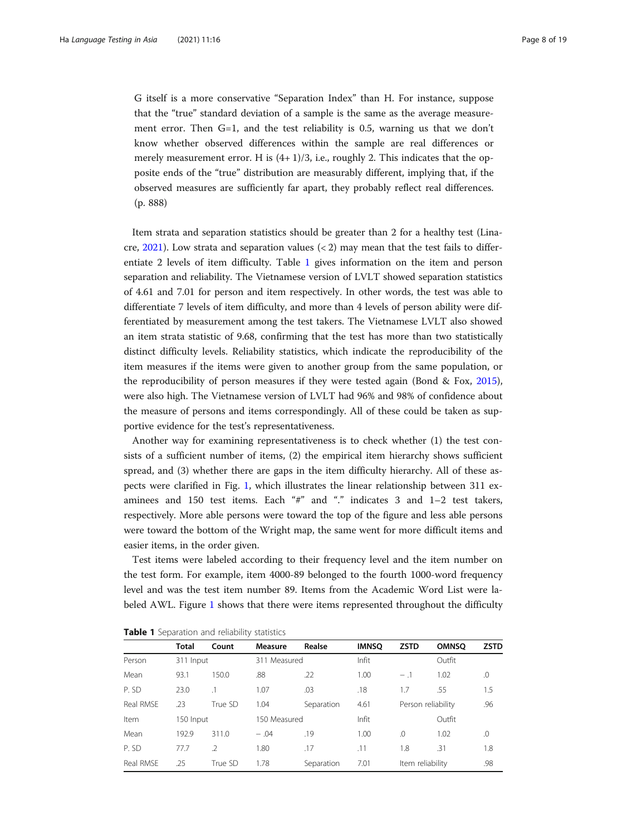<span id="page-7-0"></span>G itself is a more conservative "Separation Index" than H. For instance, suppose that the "true" standard deviation of a sample is the same as the average measurement error. Then G=1, and the test reliability is 0.5, warning us that we don't know whether observed differences within the sample are real differences or merely measurement error. H is  $(4+1)/3$ , i.e., roughly 2. This indicates that the opposite ends of the "true" distribution are measurably different, implying that, if the observed measures are sufficiently far apart, they probably reflect real differences. (p. 888)

Item strata and separation statistics should be greater than 2 for a healthy test (Lina-cre, [2021](#page-17-0)). Low strata and separation values  $(< 2)$  may mean that the test fails to differentiate 2 levels of item difficulty. Table 1 gives information on the item and person separation and reliability. The Vietnamese version of LVLT showed separation statistics of 4.61 and 7.01 for person and item respectively. In other words, the test was able to differentiate 7 levels of item difficulty, and more than 4 levels of person ability were differentiated by measurement among the test takers. The Vietnamese LVLT also showed an item strata statistic of 9.68, confirming that the test has more than two statistically distinct difficulty levels. Reliability statistics, which indicate the reproducibility of the item measures if the items were given to another group from the same population, or the reproducibility of person measures if they were tested again (Bond & Fox, [2015](#page-17-0)), were also high. The Vietnamese version of LVLT had 96% and 98% of confidence about the measure of persons and items correspondingly. All of these could be taken as supportive evidence for the test's representativeness.

Another way for examining representativeness is to check whether (1) the test consists of a sufficient number of items, (2) the empirical item hierarchy shows sufficient spread, and (3) whether there are gaps in the item difficulty hierarchy. All of these aspects were clarified in Fig. [1,](#page-8-0) which illustrates the linear relationship between 311 examinees and 150 test items. Each "#" and "." indicates 3 and 1–2 test takers, respectively. More able persons were toward the top of the figure and less able persons were toward the bottom of the Wright map, the same went for more difficult items and easier items, in the order given.

Test items were labeled according to their frequency level and the item number on the test form. For example, item 4000-89 belonged to the fourth 1000-word frequency level and was the test item number 89. Items from the Academic Word List were la-beled AWL. Figure [1](#page-8-0) shows that there were items represented throughout the difficulty

|           | <b>Total</b> | Count         | Measure      | Realse     | <b>IMNSO</b> | <b>ZSTD</b>      | <b>OMNSO</b>       | <b>ZSTD</b> |
|-----------|--------------|---------------|--------------|------------|--------------|------------------|--------------------|-------------|
| Person    | 311 Input    |               | 311 Measured |            | Infit        |                  | Outfit             |             |
| Mean      | 93.1         | 150.0         | .88          | .22        | 1.00         | $-1$             | 1.02               | .0          |
| P. SD     | 23.0         | $\cdot$ 1     | 1.07         | .03        | .18          | 1.7              | .55                | 1.5         |
| Real RMSF | .23          | True SD       | 1.04         | Separation | 4.61         |                  | Person reliability | .96         |
| Item      | 150 Input    |               | 150 Measured |            | Infit        |                  | Outfit             |             |
| Mean      | 192.9        | 311.0         | $-.04$       | .19        | 0.00         | .0               | 1.02               | .0          |
| P. SD     | 77.7         | $\mathcal{I}$ | 1.80         | .17        | .11          | 1.8              | .31                | 1.8         |
| Real RMSE | .25          | True SD       | 1.78         | Separation | 7.01         | Item reliability |                    | .98         |

Table 1 Separation and reliability statistics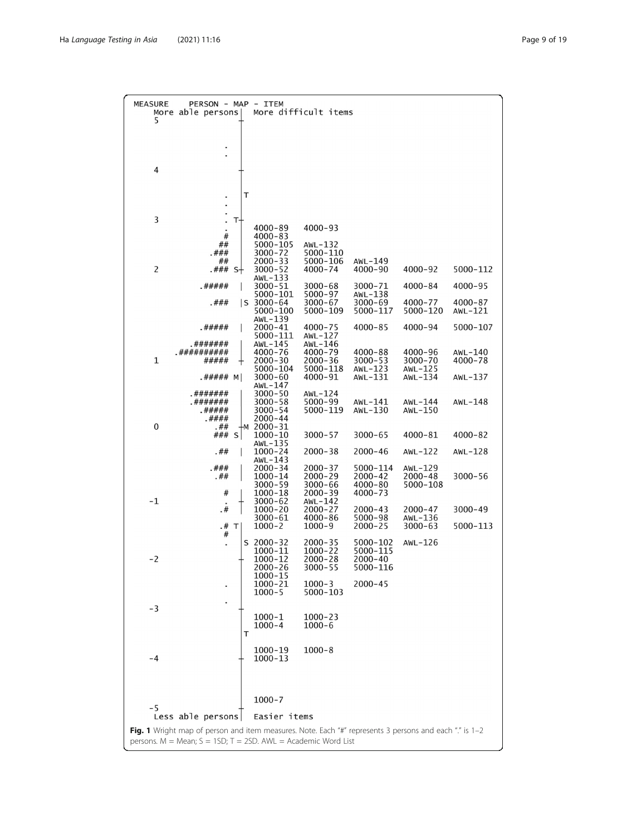<span id="page-8-0"></span>

| <b>MEASURE</b><br>5                                                                                                         | PERSON - MAP - ITEM<br>More able persons |                |                                       | More difficult items              |                            |                           |                    |
|-----------------------------------------------------------------------------------------------------------------------------|------------------------------------------|----------------|---------------------------------------|-----------------------------------|----------------------------|---------------------------|--------------------|
|                                                                                                                             |                                          |                |                                       |                                   |                            |                           |                    |
|                                                                                                                             |                                          |                |                                       |                                   |                            |                           |                    |
| 4                                                                                                                           |                                          |                |                                       |                                   |                            |                           |                    |
|                                                                                                                             |                                          | т              |                                       |                                   |                            |                           |                    |
|                                                                                                                             |                                          |                |                                       |                                   |                            |                           |                    |
| 3                                                                                                                           |                                          | T-             | $4000 - 89$                           | $4000 - 93$                       |                            |                           |                    |
|                                                                                                                             | #<br>##                                  |                | $4000 - 83$<br>5000-105               | AWL-132                           |                            |                           |                    |
|                                                                                                                             | .###<br>##                               |                | $3000 - 72$<br>$2000 - 33$            | 5000-110<br>5000-106              | AWL-149                    |                           |                    |
| $\overline{2}$                                                                                                              | .###                                     | S <sup>+</sup> | $3000 - 52$<br>AWL-133                | $4000 - 74$                       | 4000-90                    | 4000-92                   | 5000-112           |
|                                                                                                                             | .#####                                   |                | $3000 - 51$<br>5000-101               | $3000 - 68$<br>5000-97            | 3000-71<br>$AWL-138$       | $4000 - 84$               | 4000-95            |
|                                                                                                                             | .###                                     |                | $ S 3000 - 64$<br>5000-100            | 3000-67<br>5000-109               | 3000-69<br>5000-117        | 4000-77<br>5000-120       | 4000-87<br>AWL-121 |
|                                                                                                                             | .#####                                   |                | $AWL-139$<br>2000-41<br>5000-111      | 4000-75<br>AWL-127                | $4000 - 85$                | 4000-94                   | 5000-107           |
|                                                                                                                             | .#######<br>.##########                  |                | AWL-145<br>$4000 - 76$                | AWL-146<br>4000-79                | $4000 - 88$                | 4000-96                   | AWL-140            |
| $\mathbf{1}$                                                                                                                | #####                                    | ┿              | $2000 - 30$<br>5000-104               | 2000-36<br>5000-118               | $3000 - 53$<br>AWL-123     | $3000 - 70$<br>AWL- $125$ | 4000-78            |
|                                                                                                                             | .##### M                                 |                | $3000 - 60$<br>AWL-147                | 4000-91                           | AWL-131                    | AWL- $134$                | AWL-137            |
|                                                                                                                             | .#######<br>.#######                     |                | $3000 - 50$<br>$3000 - 58$            | $AWL-124$<br>5000-99              | AWL-141                    | AWL-144                   | AWL-148            |
|                                                                                                                             | .#####<br>.####                          |                | $3000 - 54$<br>2000-44                | 5000-119                          | AWL-130                    | $AWL-150$                 |                    |
| 0                                                                                                                           | .##<br>###                               | Ŧм<br>s l      | 2000-31<br>$1000 - 10$                | $3000 - 57$                       | $3000 - 65$                | 4000-81                   | 4000-82            |
|                                                                                                                             | .##                                      |                | AWL-135<br>$1000 - 24$                | $2000 - 38$                       | $2000 - 46$                | $AWL-122$                 | AWL- $128$         |
|                                                                                                                             | . # ##                                   |                | AWL-143<br>$2000 - 34$                | $2000 - 37$                       | 5000-114                   | AWL-129                   |                    |
|                                                                                                                             | .##                                      |                | 1000-14<br>$3000 - 59$                | 2000-29<br>3000-66                | $2000 - 42$<br>$4000 - 80$ | $2000 - 48$<br>5000-108   | 3000-56            |
| -1                                                                                                                          | #<br>.#                                  |                | 1000-18<br>$3000 - 62$<br>$1000 - 20$ | $2000 - 39$<br>AWL-142<br>2000-27 | $4000 - 73$<br>$2000 - 43$ | 2000-47                   | $3000 - 49$        |
|                                                                                                                             | .#                                       | $\top$         | 3000-61<br>$1000 - 2$                 | $4000 - 86$<br>$1000 - 9$         | 5000-98<br>$2000 - 25$     | AWL- $136$<br>$3000 - 63$ | 5000-113           |
|                                                                                                                             | #                                        | S              | 2000-32                               | $2000 - 35$                       | 5000-102                   | $AWL-126$                 |                    |
| $-2$                                                                                                                        |                                          |                | 1000-11<br>1000-12                    | 1000-22<br>2000-28                | 5000-115<br>2000-40        |                           |                    |
|                                                                                                                             |                                          |                | 2000-26<br>1000-15                    | $3000 - 55$                       | 5000-116                   |                           |                    |
|                                                                                                                             |                                          |                | 1000-21<br>$1000 - 5$                 | $1000 - 3$<br>5000-103            | $2000 - 45$                |                           |                    |
| -3                                                                                                                          |                                          |                |                                       |                                   |                            |                           |                    |
|                                                                                                                             |                                          |                | 1000-1<br>$1000 - 4$                  | 1000-23<br>1000-6                 |                            |                           |                    |
|                                                                                                                             |                                          | т              |                                       |                                   |                            |                           |                    |
| $-4$                                                                                                                        |                                          |                | 1000-19<br>$1000 - 13$                | $1000 - 8$                        |                            |                           |                    |
|                                                                                                                             |                                          |                |                                       |                                   |                            |                           |                    |
|                                                                                                                             |                                          |                | $1000 - 7$                            |                                   |                            |                           |                    |
| -5                                                                                                                          |                                          |                | Easier items                          |                                   |                            |                           |                    |
| Less able persons<br>Fig. 1 Wright map of person and item measures. Note. Each "#" represents 3 persons and each "." is 1-2 |                                          |                |                                       |                                   |                            |                           |                    |
| persons. M = Mean; S = 1SD; T = 2SD. AWL = Academic Word List                                                               |                                          |                |                                       |                                   |                            |                           |                    |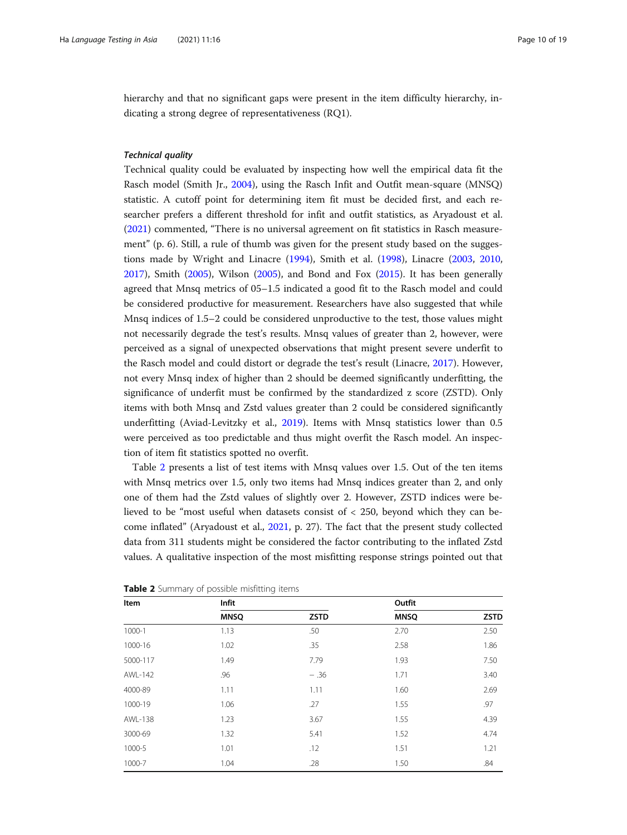hierarchy and that no significant gaps were present in the item difficulty hierarchy, indicating a strong degree of representativeness (RQ1).

Technical quality Technical quality could be evaluated by inspecting how well the empirical data fit the Rasch model (Smith Jr., [2004\)](#page-18-0), using the Rasch Infit and Outfit mean-square (MNSQ) statistic. A cutoff point for determining item fit must be decided first, and each researcher prefers a different threshold for infit and outfit statistics, as Aryadoust et al. ([2021](#page-17-0)) commented, "There is no universal agreement on fit statistics in Rasch measurement" (p. 6). Still, a rule of thumb was given for the present study based on the suggestions made by Wright and Linacre ([1994](#page-18-0)), Smith et al. ([1998\)](#page-18-0), Linacre ([2003](#page-17-0), [2010](#page-17-0), [2017](#page-17-0)), Smith [\(2005](#page-18-0)), Wilson [\(2005\)](#page-18-0), and Bond and Fox [\(2015\)](#page-17-0). It has been generally agreed that Mnsq metrics of 05–1.5 indicated a good fit to the Rasch model and could be considered productive for measurement. Researchers have also suggested that while Mnsq indices of 1.5–2 could be considered unproductive to the test, those values might not necessarily degrade the test's results. Mnsq values of greater than 2, however, were perceived as a signal of unexpected observations that might present severe underfit to the Rasch model and could distort or degrade the test's result (Linacre, [2017\)](#page-17-0). However, not every Mnsq index of higher than 2 should be deemed significantly underfitting, the significance of underfit must be confirmed by the standardized z score (ZSTD). Only items with both Mnsq and Zstd values greater than 2 could be considered significantly underfitting (Aviad-Levitzky et al., [2019](#page-17-0)). Items with Mnsq statistics lower than 0.5 were perceived as too predictable and thus might overfit the Rasch model. An inspection of item fit statistics spotted no overfit.

Table 2 presents a list of test items with Mnsq values over 1.5. Out of the ten items with Mnsq metrics over 1.5, only two items had Mnsq indices greater than 2, and only one of them had the Zstd values of slightly over 2. However, ZSTD indices were believed to be "most useful when datasets consist of < 250, beyond which they can become inflated" (Aryadoust et al., [2021](#page-17-0), p. 27). The fact that the present study collected data from 311 students might be considered the factor contributing to the inflated Zstd values. A qualitative inspection of the most misfitting response strings pointed out that

| Item     | Infit       |             | Outfit      |             |  |
|----------|-------------|-------------|-------------|-------------|--|
|          | <b>MNSQ</b> | <b>ZSTD</b> | <b>MNSQ</b> | <b>ZSTD</b> |  |
| 1000-1   | 1.13        | .50         | 2.70        | 2.50        |  |
| 1000-16  | 1.02        | .35         | 2.58        | 1.86        |  |
| 5000-117 | 1.49        | 7.79        | 1.93        | 7.50        |  |
| AWL-142  | .96         | $-.36$      | 1.71        | 3.40        |  |
| 4000-89  | 1.11        | 1.11        | 1.60        | 2.69        |  |
| 1000-19  | 1.06        | .27         | 1.55        | .97         |  |
| AWL-138  | 1.23        | 3.67        | 1.55        | 4.39        |  |
| 3000-69  | 1.32        | 5.41        | 1.52        | 4.74        |  |
| 1000-5   | 1.01        | .12         | 1.51        | 1.21        |  |
| 1000-7   | 1.04        | .28         | 1.50        | .84         |  |

**Table 2** Summary of possible misfitting items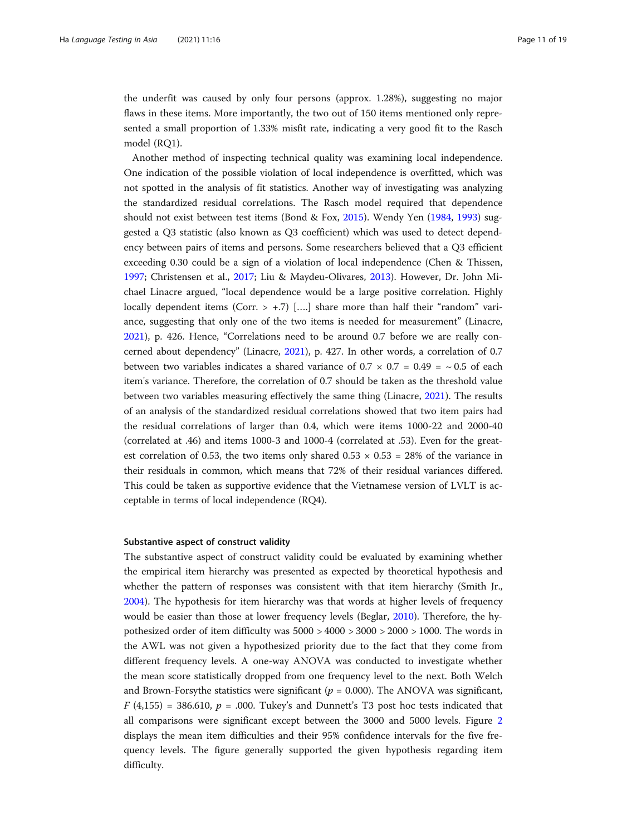the underfit was caused by only four persons (approx. 1.28%), suggesting no major flaws in these items. More importantly, the two out of 150 items mentioned only represented a small proportion of 1.33% misfit rate, indicating a very good fit to the Rasch model (RQ1).

Another method of inspecting technical quality was examining local independence. One indication of the possible violation of local independence is overfitted, which was not spotted in the analysis of fit statistics. Another way of investigating was analyzing the standardized residual correlations. The Rasch model required that dependence should not exist between test items (Bond & Fox, [2015\)](#page-17-0). Wendy Yen [\(1984,](#page-18-0) [1993\)](#page-18-0) suggested a Q3 statistic (also known as Q3 coefficient) which was used to detect dependency between pairs of items and persons. Some researchers believed that a Q3 efficient exceeding 0.30 could be a sign of a violation of local independence (Chen & Thissen, [1997](#page-17-0); Christensen et al., [2017;](#page-17-0) Liu & Maydeu-Olivares, [2013](#page-17-0)). However, Dr. John Michael Linacre argued, "local dependence would be a large positive correlation. Highly locally dependent items (Corr.  $> +.7$ ) [....] share more than half their "random" variance, suggesting that only one of the two items is needed for measurement" (Linacre, [2021](#page-17-0)), p. 426. Hence, "Correlations need to be around 0.7 before we are really concerned about dependency" (Linacre, [2021\)](#page-17-0), p. 427. In other words, a correlation of 0.7 between two variables indicates a shared variance of  $0.7 \times 0.7 = 0.49 = \sim 0.5$  of each item's variance. Therefore, the correlation of 0.7 should be taken as the threshold value between two variables measuring effectively the same thing (Linacre, [2021](#page-17-0)). The results of an analysis of the standardized residual correlations showed that two item pairs had the residual correlations of larger than 0.4, which were items 1000-22 and 2000-40 (correlated at .46) and items 1000-3 and 1000-4 (correlated at .53). Even for the greatest correlation of 0.53, the two items only shared  $0.53 \times 0.53 = 28\%$  of the variance in their residuals in common, which means that 72% of their residual variances differed. This could be taken as supportive evidence that the Vietnamese version of LVLT is acceptable in terms of local independence (RQ4).

#### Substantive aspect of construct validity

The substantive aspect of construct validity could be evaluated by examining whether the empirical item hierarchy was presented as expected by theoretical hypothesis and whether the pattern of responses was consistent with that item hierarchy (Smith Jr., [2004](#page-18-0)). The hypothesis for item hierarchy was that words at higher levels of frequency would be easier than those at lower frequency levels (Beglar, [2010](#page-17-0)). Therefore, the hypothesized order of item difficulty was 5000 > 4000 > 3000 > 2000 > 1000. The words in the AWL was not given a hypothesized priority due to the fact that they come from different frequency levels. A one-way ANOVA was conducted to investigate whether the mean score statistically dropped from one frequency level to the next. Both Welch and Brown-Forsythe statistics were significant ( $p = 0.000$ ). The ANOVA was significant,  $F(4,155) = 386.610$ ,  $p = .000$ . Tukey's and Dunnett's T3 post hoc tests indicated that all comparisons were significant except between the 3000 and 5000 levels. Figure [2](#page-11-0) displays the mean item difficulties and their 95% confidence intervals for the five frequency levels. The figure generally supported the given hypothesis regarding item difficulty.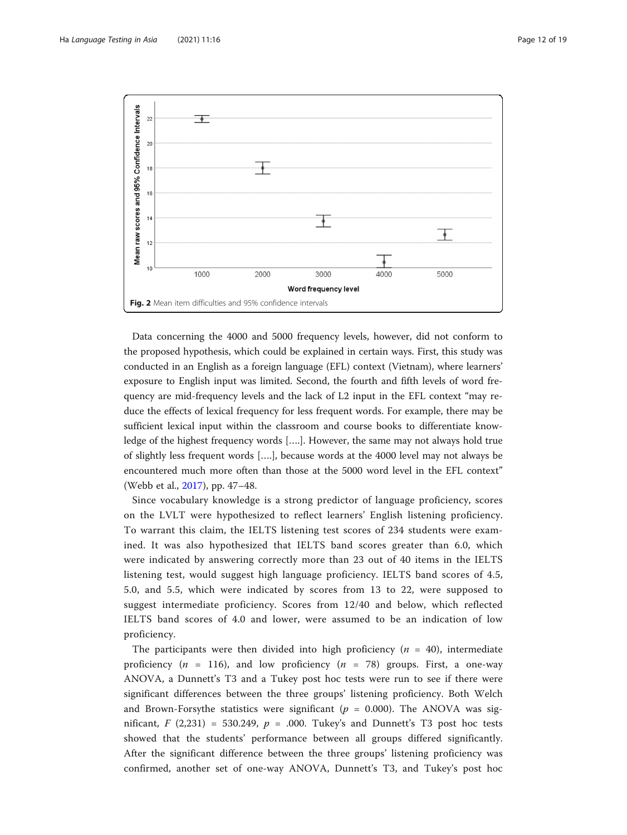<span id="page-11-0"></span>

Data concerning the 4000 and 5000 frequency levels, however, did not conform to the proposed hypothesis, which could be explained in certain ways. First, this study was conducted in an English as a foreign language (EFL) context (Vietnam), where learners' exposure to English input was limited. Second, the fourth and fifth levels of word frequency are mid-frequency levels and the lack of L2 input in the EFL context "may reduce the effects of lexical frequency for less frequent words. For example, there may be sufficient lexical input within the classroom and course books to differentiate knowledge of the highest frequency words [….]. However, the same may not always hold true of slightly less frequent words [….], because words at the 4000 level may not always be encountered much more often than those at the 5000 word level in the EFL context" (Webb et al., [2017\)](#page-18-0), pp. 47–48.

Since vocabulary knowledge is a strong predictor of language proficiency, scores on the LVLT were hypothesized to reflect learners' English listening proficiency. To warrant this claim, the IELTS listening test scores of 234 students were examined. It was also hypothesized that IELTS band scores greater than 6.0, which were indicated by answering correctly more than 23 out of 40 items in the IELTS listening test, would suggest high language proficiency. IELTS band scores of 4.5, 5.0, and 5.5, which were indicated by scores from 13 to 22, were supposed to suggest intermediate proficiency. Scores from 12/40 and below, which reflected IELTS band scores of 4.0 and lower, were assumed to be an indication of low proficiency.

The participants were then divided into high proficiency ( $n = 40$ ), intermediate proficiency ( $n = 116$ ), and low proficiency ( $n = 78$ ) groups. First, a one-way ANOVA, a Dunnett's T3 and a Tukey post hoc tests were run to see if there were significant differences between the three groups' listening proficiency. Both Welch and Brown-Forsythe statistics were significant ( $p = 0.000$ ). The ANOVA was significant,  $F(2,231) = 530.249$ ,  $p = .000$ . Tukey's and Dunnett's T3 post hoc tests showed that the students' performance between all groups differed significantly. After the significant difference between the three groups' listening proficiency was confirmed, another set of one-way ANOVA, Dunnett's T3, and Tukey's post hoc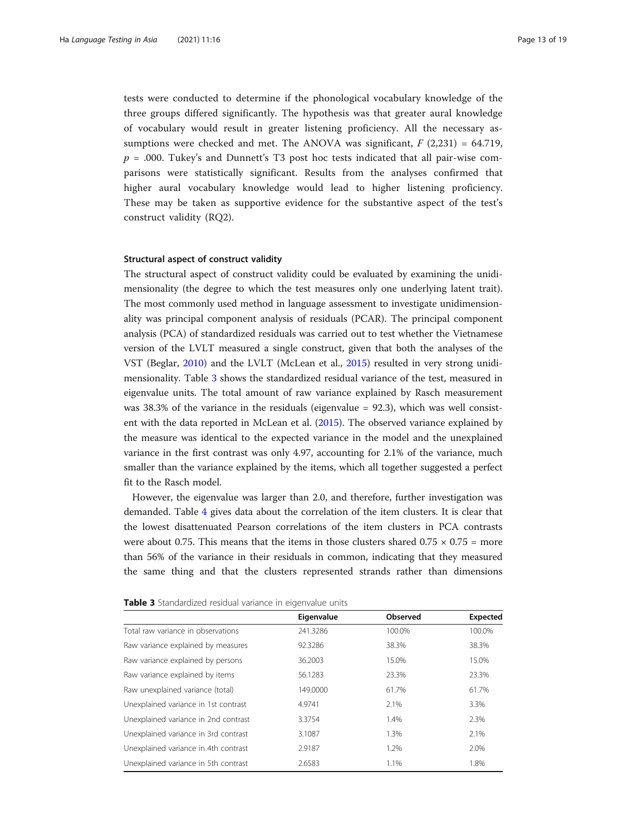tests were conducted to determine if the phonological vocabulary knowledge of the three groups differed significantly. The hypothesis was that greater aural knowledge of vocabulary would result in greater listening proficiency. All the necessary assumptions were checked and met. The ANOVA was significant,  $F(2,231) = 64.719$ ,  $p = 0.000$ . Tukey's and Dunnett's T3 post hoc tests indicated that all pair-wise comparisons were statistically significant. Results from the analyses confirmed that higher aural vocabulary knowledge would lead to higher listening proficiency. These may be taken as supportive evidence for the substantive aspect of the test's construct validity (RQ2).

### Structural aspect of construct validity

The structural aspect of construct validity could be evaluated by examining the unidimensionality (the degree to which the test measures only one underlying latent trait). The most commonly used method in language assessment to investigate unidimensionality was principal component analysis of residuals (PCAR). The principal component analysis (PCA) of standardized residuals was carried out to test whether the Vietnamese version of the LVLT measured a single construct, given that both the analyses of the VST (Beglar, [2010\)](#page-17-0) and the LVLT (McLean et al., [2015\)](#page-18-0) resulted in very strong unidimensionality. Table 3 shows the standardized residual variance of the test, measured in eigenvalue units. The total amount of raw variance explained by Rasch measurement was 38.3% of the variance in the residuals (eigenvalue = 92.3), which was well consistent with the data reported in McLean et al. [\(2015](#page-18-0)). The observed variance explained by the measure was identical to the expected variance in the model and the unexplained variance in the first contrast was only 4.97, accounting for 2.1% of the variance, much smaller than the variance explained by the items, which all together suggested a perfect fit to the Rasch model.

However, the eigenvalue was larger than 2.0, and therefore, further investigation was demanded. Table [4](#page-13-0) gives data about the correlation of the item clusters. It is clear that the lowest disattenuated Pearson correlations of the item clusters in PCA contrasts were about 0.75. This means that the items in those clusters shared  $0.75 \times 0.75$  = more than 56% of the variance in their residuals in common, indicating that they measured the same thing and that the clusters represented strands rather than dimensions

|                                      | Eigenvalue | Observed | <b>Expected</b> |
|--------------------------------------|------------|----------|-----------------|
| Total raw variance in observations   | 241.3286   | 100.0%   | 100.0%          |
| Raw variance explained by measures   | 92.3286    | 38.3%    | 38.3%           |
| Raw variance explained by persons    | 36.2003    | 15.0%    | 15.0%           |
| Raw variance explained by items      | 56.1283    | 23.3%    | 23.3%           |
| Raw unexplained variance (total)     | 149,0000   | 61.7%    | 61.7%           |
| Unexplained variance in 1st contrast | 4.9741     | 2.1%     | 3.3%            |
| Unexplained variance in 2nd contrast | 3.3754     | 1.4%     | 2.3%            |
| Unexplained variance in 3rd contrast | 3.1087     | 1.3%     | 2.1%            |
| Unexplained variance in 4th contrast | 2.9187     | 1.2%     | 2.0%            |
| Unexplained variance in 5th contrast | 2.6583     | 1.1%     | 1.8%            |

Table 3 Standardized residual variance in eigenvalue units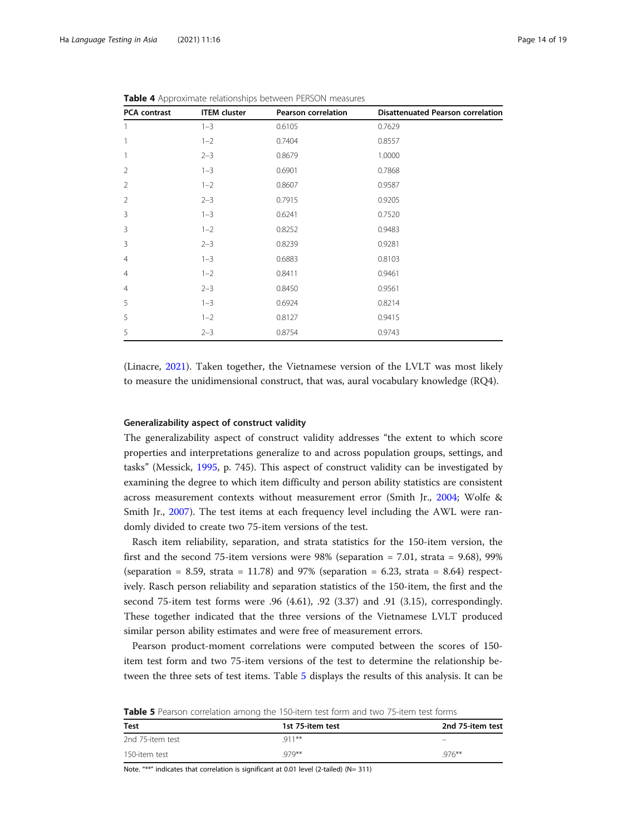| PCA contrast   | <b>ITEM</b> cluster | <b>Pearson correlation</b> | <b>Disattenuated Pearson correlation</b> |
|----------------|---------------------|----------------------------|------------------------------------------|
| $\mathbf{1}$   | $1 - 3$             | 0.6105                     | 0.7629                                   |
| 1              | $1 - 2$             | 0.7404                     | 0.8557                                   |
| $\mathbf{1}$   | $2 - 3$             | 0.8679                     | 1.0000                                   |
| $\overline{2}$ | $1 - 3$             | 0.6901                     | 0.7868                                   |
| $\overline{2}$ | $1 - 2$             | 0.8607                     | 0.9587                                   |
| $\overline{2}$ | $2 - 3$             | 0.7915                     | 0.9205                                   |
| 3              | $1 - 3$             | 0.6241                     | 0.7520                                   |
| 3              | $1 - 2$             | 0.8252                     | 0.9483                                   |
| 3              | $2 - 3$             | 0.8239                     | 0.9281                                   |
| $\overline{4}$ | $1 - 3$             | 0.6883                     | 0.8103                                   |
| $\overline{4}$ | $1 - 2$             | 0.8411                     | 0.9461                                   |
| $\overline{4}$ | $2 - 3$             | 0.8450                     | 0.9561                                   |
| 5              | $1 - 3$             | 0.6924                     | 0.8214                                   |
| 5              | $1 - 2$             | 0.8127                     | 0.9415                                   |
| 5              | $2 - 3$             | 0.8754                     | 0.9743                                   |

<span id="page-13-0"></span>Table 4 Approximate relationships between PERSON measures

(Linacre, [2021\)](#page-17-0). Taken together, the Vietnamese version of the LVLT was most likely to measure the unidimensional construct, that was, aural vocabulary knowledge (RQ4).

### Generalizability aspect of construct validity

The generalizability aspect of construct validity addresses "the extent to which score properties and interpretations generalize to and across population groups, settings, and tasks" (Messick, [1995,](#page-18-0) p. 745). This aspect of construct validity can be investigated by examining the degree to which item difficulty and person ability statistics are consistent across measurement contexts without measurement error (Smith Jr., [2004](#page-18-0); Wolfe & Smith Jr., [2007](#page-18-0)). The test items at each frequency level including the AWL were randomly divided to create two 75-item versions of the test.

Rasch item reliability, separation, and strata statistics for the 150-item version, the first and the second 75-item versions were  $98\%$  (separation = 7.01, strata = 9.68), 99% (separation = 8.59, strata = 11.78) and 97% (separation = 6.23, strata = 8.64) respectively. Rasch person reliability and separation statistics of the 150-item, the first and the second 75-item test forms were .96 (4.61), .92 (3.37) and .91 (3.15), correspondingly. These together indicated that the three versions of the Vietnamese LVLT produced similar person ability estimates and were free of measurement errors.

Pearson product-moment correlations were computed between the scores of 150 item test form and two 75-item versions of the test to determine the relationship between the three sets of test items. Table 5 displays the results of this analysis. It can be

Table 5 Pearson correlation among the 150-item test form and two 75-item test forms

| <b>Test</b>      | 1st 75-item test | 2nd 75-item test |
|------------------|------------------|------------------|
| 2nd 75-item test | $911***$         |                  |
| 150-item test    | $979**$          | $.976***$        |

Note. "\*\*" indicates that correlation is significant at 0.01 level (2-tailed) (N= 311)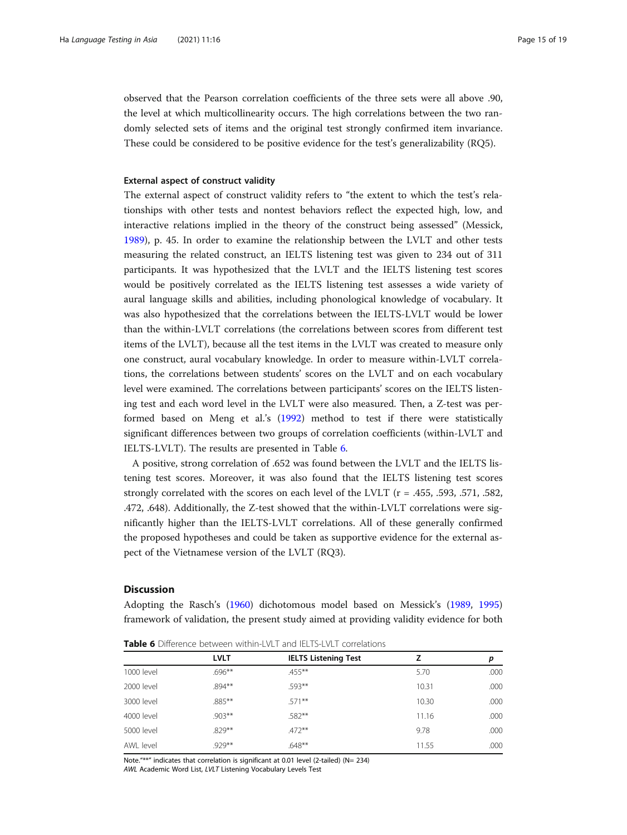observed that the Pearson correlation coefficients of the three sets were all above .90, the level at which multicollinearity occurs. The high correlations between the two randomly selected sets of items and the original test strongly confirmed item invariance. These could be considered to be positive evidence for the test's generalizability (RQ5).

### External aspect of construct validity

The external aspect of construct validity refers to "the extent to which the test's relationships with other tests and nontest behaviors reflect the expected high, low, and interactive relations implied in the theory of the construct being assessed" (Messick, [1989](#page-18-0)), p. 45. In order to examine the relationship between the LVLT and other tests measuring the related construct, an IELTS listening test was given to 234 out of 311 participants. It was hypothesized that the LVLT and the IELTS listening test scores would be positively correlated as the IELTS listening test assesses a wide variety of aural language skills and abilities, including phonological knowledge of vocabulary. It was also hypothesized that the correlations between the IELTS-LVLT would be lower than the within-LVLT correlations (the correlations between scores from different test items of the LVLT), because all the test items in the LVLT was created to measure only one construct, aural vocabulary knowledge. In order to measure within-LVLT correlations, the correlations between students' scores on the LVLT and on each vocabulary level were examined. The correlations between participants' scores on the IELTS listening test and each word level in the LVLT were also measured. Then, a Z-test was performed based on Meng et al.'s ([1992](#page-18-0)) method to test if there were statistically significant differences between two groups of correlation coefficients (within-LVLT and IELTS-LVLT). The results are presented in Table 6.

A positive, strong correlation of .652 was found between the LVLT and the IELTS listening test scores. Moreover, it was also found that the IELTS listening test scores strongly correlated with the scores on each level of the LVLT (r = .455, .593, .571, .582, .472, .648). Additionally, the Z-test showed that the within-LVLT correlations were significantly higher than the IELTS-LVLT correlations. All of these generally confirmed the proposed hypotheses and could be taken as supportive evidence for the external aspect of the Vietnamese version of the LVLT (RQ3).

### **Discussion**

Adopting the Rasch's [\(1960\)](#page-18-0) dichotomous model based on Messick's ([1989](#page-18-0), [1995](#page-18-0)) framework of validation, the present study aimed at providing validity evidence for both

|            | <b>LVLT</b> | <b>IELTS Listening Test</b> | 7     | р    |  |  |
|------------|-------------|-----------------------------|-------|------|--|--|
| 1000 level | $.696***$   | $455***$                    | 5.70  | .000 |  |  |
| 2000 level | $.894***$   | .593**                      | 10.31 | .000 |  |  |
| 3000 level | $.885***$   | $.571***$                   | 10.30 | .000 |  |  |
| 4000 level | $.903**$    | $.582***$                   | 11.16 | .000 |  |  |
| 5000 level | $.829***$   | $.472**$                    | 9.78  | .000 |  |  |
| AWL level  | $.929**$    | $.648**$                    | 11.55 | .000 |  |  |

Table 6 Difference between within-LVLT and IELTS-LVLT correlations

Note."\*\*" indicates that correlation is significant at 0.01 level (2-tailed) (N= 234) AWL Academic Word List, LVLT Listening Vocabulary Levels Test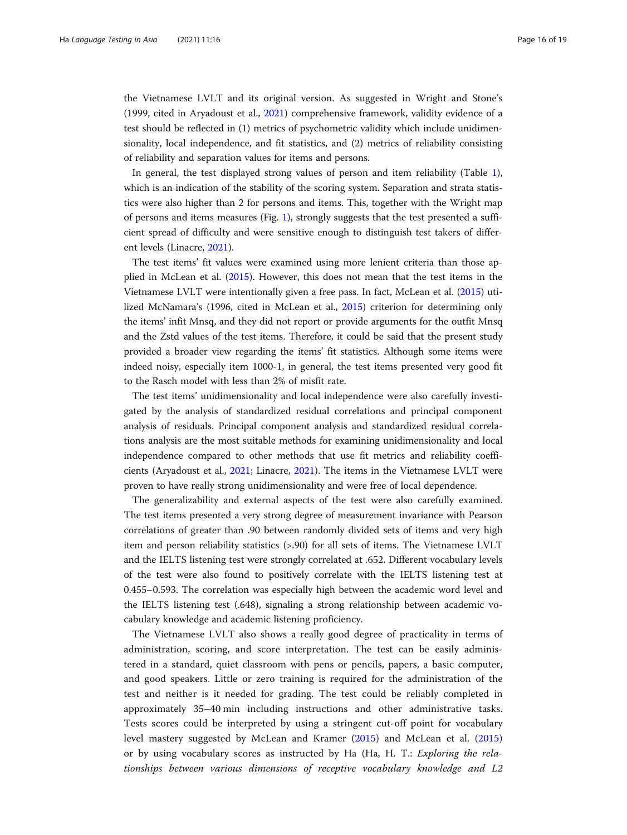the Vietnamese LVLT and its original version. As suggested in Wright and Stone's (1999, cited in Aryadoust et al., [2021](#page-17-0)) comprehensive framework, validity evidence of a test should be reflected in (1) metrics of psychometric validity which include unidimensionality, local independence, and fit statistics, and (2) metrics of reliability consisting of reliability and separation values for items and persons.

In general, the test displayed strong values of person and item reliability (Table [1](#page-7-0)), which is an indication of the stability of the scoring system. Separation and strata statistics were also higher than 2 for persons and items. This, together with the Wright map of persons and items measures (Fig. [1\)](#page-8-0), strongly suggests that the test presented a sufficient spread of difficulty and were sensitive enough to distinguish test takers of different levels (Linacre, [2021\)](#page-17-0).

The test items' fit values were examined using more lenient criteria than those applied in McLean et al. [\(2015\)](#page-18-0). However, this does not mean that the test items in the Vietnamese LVLT were intentionally given a free pass. In fact, McLean et al. [\(2015\)](#page-18-0) utilized McNamara's (1996, cited in McLean et al., [2015\)](#page-18-0) criterion for determining only the items' infit Mnsq, and they did not report or provide arguments for the outfit Mnsq and the Zstd values of the test items. Therefore, it could be said that the present study provided a broader view regarding the items' fit statistics. Although some items were indeed noisy, especially item 1000-1, in general, the test items presented very good fit to the Rasch model with less than 2% of misfit rate.

The test items' unidimensionality and local independence were also carefully investigated by the analysis of standardized residual correlations and principal component analysis of residuals. Principal component analysis and standardized residual correlations analysis are the most suitable methods for examining unidimensionality and local independence compared to other methods that use fit metrics and reliability coefficients (Aryadoust et al., [2021](#page-17-0); Linacre, [2021\)](#page-17-0). The items in the Vietnamese LVLT were proven to have really strong unidimensionality and were free of local dependence.

The generalizability and external aspects of the test were also carefully examined. The test items presented a very strong degree of measurement invariance with Pearson correlations of greater than .90 between randomly divided sets of items and very high item and person reliability statistics (>.90) for all sets of items. The Vietnamese LVLT and the IELTS listening test were strongly correlated at .652. Different vocabulary levels of the test were also found to positively correlate with the IELTS listening test at 0.455–0.593. The correlation was especially high between the academic word level and the IELTS listening test (.648), signaling a strong relationship between academic vocabulary knowledge and academic listening proficiency.

The Vietnamese LVLT also shows a really good degree of practicality in terms of administration, scoring, and score interpretation. The test can be easily administered in a standard, quiet classroom with pens or pencils, papers, a basic computer, and good speakers. Little or zero training is required for the administration of the test and neither is it needed for grading. The test could be reliably completed in approximately 35–40 min including instructions and other administrative tasks. Tests scores could be interpreted by using a stringent cut-off point for vocabulary level mastery suggested by McLean and Kramer [\(2015](#page-18-0)) and McLean et al. [\(2015](#page-18-0)) or by using vocabulary scores as instructed by Ha (Ha, H. T.: Exploring the relationships between various dimensions of receptive vocabulary knowledge and L2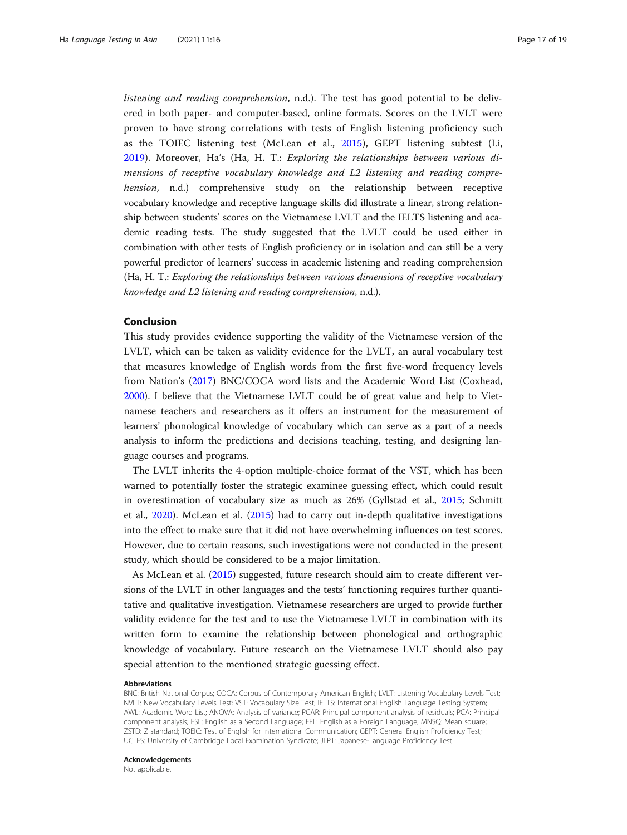listening and reading comprehension, n.d.). The test has good potential to be delivered in both paper- and computer-based, online formats. Scores on the LVLT were proven to have strong correlations with tests of English listening proficiency such as the TOIEC listening test (McLean et al., [2015](#page-18-0)), GEPT listening subtest (Li, [2019\)](#page-17-0). Moreover, Ha's (Ha, H. T.: Exploring the relationships between various dimensions of receptive vocabulary knowledge and L2 listening and reading comprehension, n.d.) comprehensive study on the relationship between receptive vocabulary knowledge and receptive language skills did illustrate a linear, strong relationship between students' scores on the Vietnamese LVLT and the IELTS listening and academic reading tests. The study suggested that the LVLT could be used either in combination with other tests of English proficiency or in isolation and can still be a very powerful predictor of learners' success in academic listening and reading comprehension (Ha, H. T.: Exploring the relationships between various dimensions of receptive vocabulary knowledge and L2 listening and reading comprehension, n.d.).

# Conclusion

This study provides evidence supporting the validity of the Vietnamese version of the LVLT, which can be taken as validity evidence for the LVLT, an aural vocabulary test that measures knowledge of English words from the first five-word frequency levels from Nation's [\(2017](#page-18-0)) BNC/COCA word lists and the Academic Word List (Coxhead, [2000](#page-17-0)). I believe that the Vietnamese LVLT could be of great value and help to Vietnamese teachers and researchers as it offers an instrument for the measurement of learners' phonological knowledge of vocabulary which can serve as a part of a needs analysis to inform the predictions and decisions teaching, testing, and designing language courses and programs.

The LVLT inherits the 4-option multiple-choice format of the VST, which has been warned to potentially foster the strategic examinee guessing effect, which could result in overestimation of vocabulary size as much as 26% (Gyllstad et al., [2015](#page-17-0); Schmitt et al., [2020\)](#page-18-0). McLean et al. ([2015](#page-18-0)) had to carry out in-depth qualitative investigations into the effect to make sure that it did not have overwhelming influences on test scores. However, due to certain reasons, such investigations were not conducted in the present study, which should be considered to be a major limitation.

As McLean et al. [\(2015](#page-18-0)) suggested, future research should aim to create different versions of the LVLT in other languages and the tests' functioning requires further quantitative and qualitative investigation. Vietnamese researchers are urged to provide further validity evidence for the test and to use the Vietnamese LVLT in combination with its written form to examine the relationship between phonological and orthographic knowledge of vocabulary. Future research on the Vietnamese LVLT should also pay special attention to the mentioned strategic guessing effect.

#### Abbreviations

BNC: British National Corpus; COCA: Corpus of Contemporary American English; LVLT: Listening Vocabulary Levels Test; NVLT: New Vocabulary Levels Test; VST: Vocabulary Size Test; IELTS: International English Language Testing System; AWL: Academic Word List; ANOVA: Analysis of variance; PCAR: Principal component analysis of residuals; PCA: Principal component analysis; ESL: English as a Second Language; EFL: English as a Foreign Language; MNSQ: Mean square; ZSTD: Z standard; TOEIC: Test of English for International Communication; GEPT: General English Proficiency Test; UCLES: University of Cambridge Local Examination Syndicate; JLPT: Japanese-Language Proficiency Test

Acknowledgements Not applicable.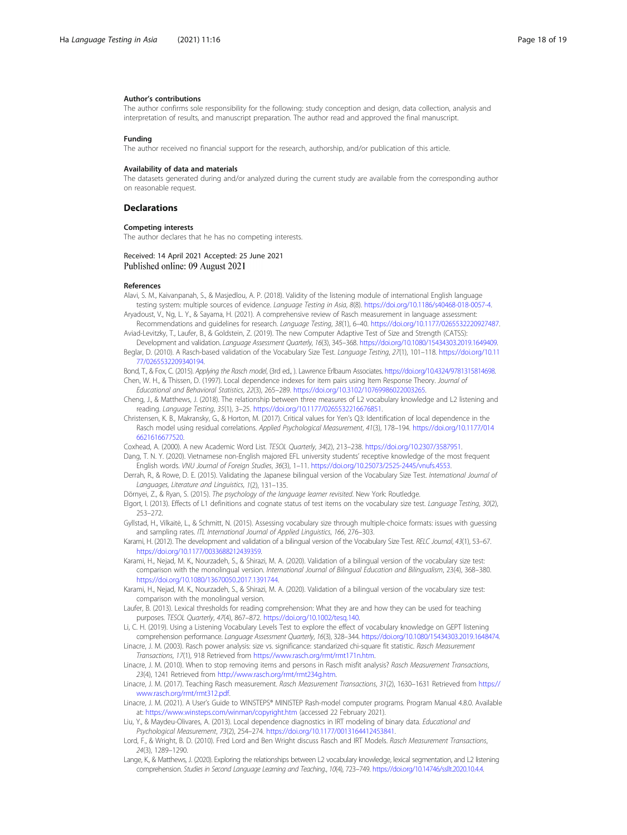#### <span id="page-17-0"></span>Author's contributions

The author confirms sole responsibility for the following: study conception and design, data collection, analysis and interpretation of results, and manuscript preparation. The author read and approved the final manuscript.

#### Funding

The author received no financial support for the research, authorship, and/or publication of this article.

#### Availability of data and materials

The datasets generated during and/or analyzed during the current study are available from the corresponding author on reasonable request.

#### **Declarations**

#### Competing interests

The author declares that he has no competing interests.

### Received: 14 April 2021 Accepted: 25 June 2021 Published online: 09 August 2021

#### References

- Alavi, S. M., Kaivanpanah, S., & Masjedlou, A. P. (2018). Validity of the listening module of international English language testing system: multiple sources of evidence. Language Testing in Asia, 8(8). [https://doi.org/10.1186/s40468-018-0057-4.](https://doi.org/10.1186/s40468-018-0057-4)
- Aryadoust, V., Ng, L. Y., & Sayama, H. (2021). A comprehensive review of Rasch measurement in language assessment: Recommendations and guidelines for research. Language Testing, 38(1), 6–40. <https://doi.org/10.1177/0265532220927487>.
- Aviad-Levitzky, T., Laufer, B., & Goldstein, Z. (2019). The new Computer Adaptive Test of Size and Strength (CATSS): Development and validation. Language Assessment Quarterly, 16(3), 345–368. <https://doi.org/10.1080/15434303.2019.1649409>.
- Beglar, D. (2010). A Rasch-based validation of the Vocabulary Size Test. Language Testing, 27(1), 101–118. [https://doi.org/10.11](https://doi.org/10.1177/0265532209340194) [77/0265532209340194](https://doi.org/10.1177/0265532209340194).

Bond, T., & Fox, C. (2015). Applying the Rasch model, (3rd ed., ). Lawrence Erlbaum Associates. <https://doi.org/10.4324/9781315814698>. Chen, W. H., & Thissen, D. (1997). Local dependence indexes for item pairs using Item Response Theory. Journal of

- Educational and Behavioral Statistics, 22(3), 265–289. <https://doi.org/10.3102/10769986022003265>.
- Cheng, J., & Matthews, J. (2018). The relationship between three measures of L2 vocabulary knowledge and L2 listening and reading. Language Testing, 35(1), 3–25. <https://doi.org/10.1177/0265532216676851>.
- Christensen, K. B., Makransky, G., & Horton, M. (2017). Critical values for Yen's Q3: Identification of local dependence in the Rasch model using residual correlations. Applied Psychological Measurement, 41(3), 178–194. [https://doi.org/10.1177/014](https://doi.org/10.1177/0146621616677520) [6621616677520.](https://doi.org/10.1177/0146621616677520)
- Coxhead, A. (2000). A new Academic Word List. TESOL Quarterly, 34(2), 213–238. <https://doi.org/10.2307/3587951>.
- Dang, T. N. Y. (2020). Vietnamese non-English majored EFL university students' receptive knowledge of the most frequent English words. VNU Journal of Foreign Studies, 36(3), 1–11. [https://doi.org/10.25073/2525-2445/vnufs.4553.](https://doi.org/10.25073/2525-2445/vnufs.4553)
- Derrah, R., & Rowe, D. E. (2015). Validating the Japanese bilingual version of the Vocabulary Size Test. International Journal of Languages, Literature and Linguistics, 1(2), 131–135.
- Dörnyei, Z., & Ryan, S. (2015). The psychology of the language learner revisited. New York: Routledge.
- Elgort, I. (2013). Effects of L1 definitions and cognate status of test items on the vocabulary size test. Language Testing, 30(2), 253–272.
- Gyllstad, H., Vilkaitė, L., & Schmitt, N. (2015). Assessing vocabulary size through multiple-choice formats: issues with guessing and sampling rates. ITL International Journal of Applied Linguistics, 166, 276–303.

Karami, H. (2012). The development and validation of a bilingual version of the Vocabulary Size Test. RELC Journal, 43(1), 53–67. [https://doi.org/10.1177/0033688212439359.](https://doi.org/10.1177/0033688212439359)

- Karami, H., Nejad, M. K., Nourzadeh, S., & Shirazi, M. A. (2020). Validation of a bilingual version of the vocabulary size test: comparison with the monolingual version. International Journal of Bilingual Education and Bilingualism, 23(4), 368–380. <https://doi.org/10.1080/13670050.2017.1391744>.
- Karami, H., Nejad, M. K., Nourzadeh, S., & Shirazi, M. A. (2020). Validation of a bilingual version of the vocabulary size test: comparison with the monolingual version.
- Laufer, B. (2013). Lexical thresholds for reading comprehension: What they are and how they can be used for teaching purposes. TESOL Quarterly, 47(4), 867–872. <https://doi.org/10.1002/tesq.140>.
- Li, C. H. (2019). Using a Listening Vocabulary Levels Test to explore the effect of vocabulary knowledge on GEPT listening comprehension performance. Language Assessment Quarterly, 16(3), 328–344. [https://doi.org/10.1080/15434303.2019.1648474.](https://doi.org/10.1080/15434303.2019.1648474)
- Linacre, J. M. (2003). Rasch power analysis: size vs. significance: standarized chi-square fit statistic. Rasch Measurement Transactions, 17(1), 918 Retrieved from [https://www.rasch.org/rmt/rmt171n.htm.](https://www.rasch.org/rmt/rmt171n.htm)
- Linacre, J. M. (2010). When to stop removing items and persons in Rasch misfit analysis? Rasch Measurement Transactions, 23(4), 1241 Retrieved from [http://www.rasch.org/rmt/rmt234g.htm.](http://www.rasch.org/rmt/rmt234g.htm)
- Linacre, J. M. (2017). Teaching Rasch measurement. Rasch Measurement Transactions, 31(2), 1630–1631 Retrieved from [https://](https://www.rasch.org/rmt/rmt312.pdf) [www.rasch.org/rmt/rmt312.pdf.](https://www.rasch.org/rmt/rmt312.pdf)
- Linacre, J. M. (2021). A User's Guide to WINSTEPS® MINISTEP Rash-model computer programs. Program Manual 4.8.0. Available at: <https://www.winsteps.com/winman/copyright.htm> (accessed 22 February 2021).
- Liu, Y., & Maydeu-Olivares, A. (2013). Local dependence diagnostics in IRT modeling of binary data. Educational and Psychological Measurement, 73(2), 254–274. [https://doi.org/10.1177/0013164412453841.](https://doi.org/10.1177/0013164412453841)
- Lord, F., & Wright, B. D. (2010). Fred Lord and Ben Wright discuss Rasch and IRT Models. Rasch Measurement Transactions, 24(3), 1289–1290.
- Lange, K., & Matthews, J. (2020). Exploring the relationships between L2 vocabulary knowledge, lexical segmentation, and L2 listening comprehension. Studies in Second Language Learning and Teaching., 10(4), 723–749. [https://doi.org/10.14746/ssllt.2020.10.4.4.](https://doi.org/10.14746/ssllt.2020.10.4.4)